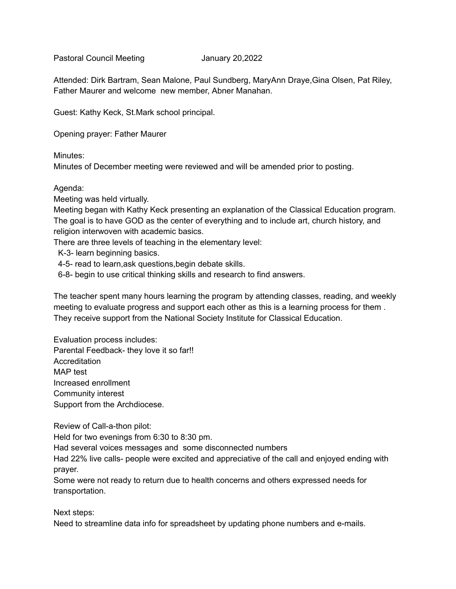Pastoral Council Meeting **Franch** January 20,2022

Attended: Dirk Bartram, Sean Malone, Paul Sundberg, MaryAnn Draye,Gina Olsen, Pat Riley, Father Maurer and welcome new member, Abner Manahan.

Guest: Kathy Keck, St.Mark school principal.

Opening prayer: Father Maurer

Minutes:

Minutes of December meeting were reviewed and will be amended prior to posting.

## Agenda:

Meeting was held virtually.

Meeting began with Kathy Keck presenting an explanation of the Classical Education program. The goal is to have GOD as the center of everything and to include art, church history, and religion interwoven with academic basics.

There are three levels of teaching in the elementary level:

K-3- learn beginning basics.

4-5- read to learn,ask questions,begin debate skills.

6-8- begin to use critical thinking skills and research to find answers.

The teacher spent many hours learning the program by attending classes, reading, and weekly meeting to evaluate progress and support each other as this is a learning process for them . They receive support from the National Society Institute for Classical Education.

Evaluation process includes: Parental Feedback- they love it so far!! **Accreditation** MAP test Increased enrollment Community interest Support from the Archdiocese.

Review of Call-a-thon pilot:

Held for two evenings from 6:30 to 8:30 pm.

Had several voices messages and some disconnected numbers

Had 22% live calls- people were excited and appreciative of the call and enjoyed ending with prayer.

Some were not ready to return due to health concerns and others expressed needs for transportation.

Next steps:

Need to streamline data info for spreadsheet by updating phone numbers and e-mails.